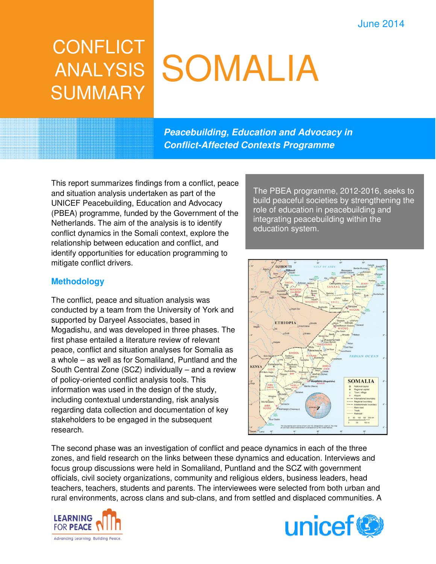# June 2014

# **CONFLICT** ANALYSIS **SUMMARY**

# SOMALIA

**Peacebuilding, Education and Advocacy in Conflict-Affected Contexts Programme** 

This report summarizes findings from a conflict, peace and situation analysis undertaken as part of the UNICEF Peacebuilding, Education and Advocacy (PBEA) programme, funded by the Government of the Netherlands. The aim of the analysis is to identify conflict dynamics in the Somali context, explore the relationship between education and conflict, and identify opportunities for education programming to mitigate conflict drivers.

#### **Methodology**

The conflict, peace and situation analysis was conducted by a team from the University of York and supported by Daryeel Associates, based in Mogadishu, and was developed in three phases. The first phase entailed a literature review of relevant peace, conflict and situation analyses for Somalia as a whole – as well as for Somaliland, Puntland and the South Central Zone (SCZ) individually – and a review of policy-oriented conflict analysis tools. This information was used in the design of the study, including contextual understanding, risk analysis regarding data collection and documentation of key stakeholders to be engaged in the subsequent research.

The PBEA programme, 2012-2016, seeks to build peaceful societies by strengthening the role of education in peacebuilding and integrating peacebuilding within the education system.



The second phase was an investigation of conflict and peace dynamics in each of the three zones, and field research on the links between these dynamics and education. Interviews and focus group discussions were held in Somaliland, Puntland and the SCZ with government officials, civil society organizations, community and religious elders, business leaders, head teachers, teachers, students and parents. The interviewees were selected from both urban and rural environments, across clans and sub-clans, and from settled and displaced communities. A



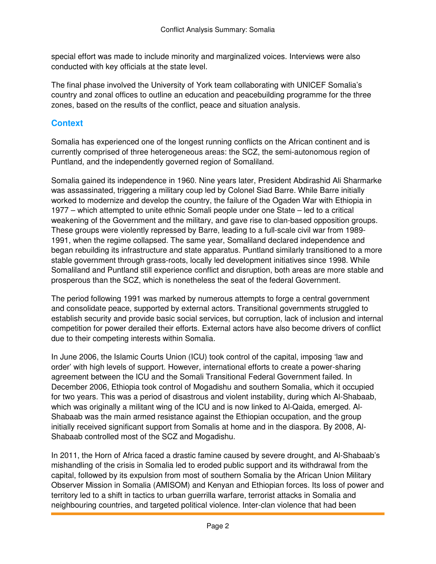special effort was made to include minority and marginalized voices. Interviews were also conducted with key officials at the state level.

The final phase involved the University of York team collaborating with UNICEF Somalia's country and zonal offices to outline an education and peacebuilding programme for the three zones, based on the results of the conflict, peace and situation analysis.

## **Context**

Somalia has experienced one of the longest running conflicts on the African continent and is currently comprised of three heterogeneous areas: the SCZ, the semi-autonomous region of Puntland, and the independently governed region of Somaliland.

Somalia gained its independence in 1960. Nine years later, President Abdirashid Ali Sharmarke was assassinated, triggering a military coup led by Colonel Siad Barre. While Barre initially worked to modernize and develop the country, the failure of the Ogaden War with Ethiopia in 1977 – which attempted to unite ethnic Somali people under one State – led to a critical weakening of the Government and the military, and gave rise to clan-based opposition groups. These groups were violently repressed by Barre, leading to a full-scale civil war from 1989- 1991, when the regime collapsed. The same year, Somaliland declared independence and began rebuilding its infrastructure and state apparatus. Puntland similarly transitioned to a more stable government through grass-roots, locally led development initiatives since 1998. While Somaliland and Puntland still experience conflict and disruption, both areas are more stable and prosperous than the SCZ, which is nonetheless the seat of the federal Government.

The period following 1991 was marked by numerous attempts to forge a central government and consolidate peace, supported by external actors. Transitional governments struggled to establish security and provide basic social services, but corruption, lack of inclusion and internal competition for power derailed their efforts. External actors have also become drivers of conflict due to their competing interests within Somalia.

In June 2006, the Islamic Courts Union (ICU) took control of the capital, imposing 'law and order' with high levels of support. However, international efforts to create a power-sharing agreement between the ICU and the Somali Transitional Federal Government failed. In December 2006, Ethiopia took control of Mogadishu and southern Somalia, which it occupied for two years. This was a period of disastrous and violent instability, during which Al-Shabaab, which was originally a militant wing of the ICU and is now linked to Al-Qaida, emerged. Al-Shabaab was the main armed resistance against the Ethiopian occupation, and the group initially received significant support from Somalis at home and in the diaspora. By 2008, Al-Shabaab controlled most of the SCZ and Mogadishu.

In 2011, the Horn of Africa faced a drastic famine caused by severe drought, and Al-Shabaab's mishandling of the crisis in Somalia led to eroded public support and its withdrawal from the capital, followed by its expulsion from most of southern Somalia by the African Union Military Observer Mission in Somalia (AMISOM) and Kenyan and Ethiopian forces. Its loss of power and territory led to a shift in tactics to urban guerrilla warfare, terrorist attacks in Somalia and neighbouring countries, and targeted political violence. Inter-clan violence that had been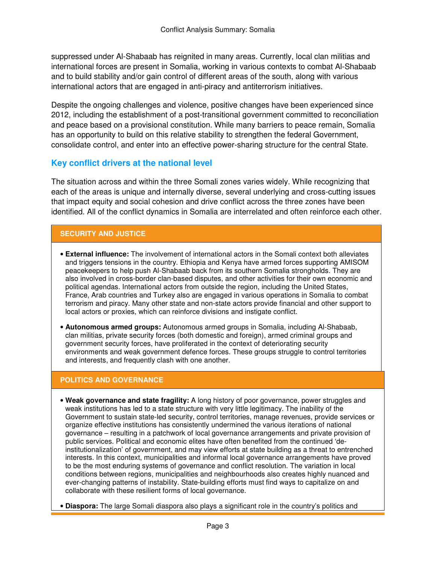suppressed under Al-Shabaab has reignited in many areas. Currently, local clan militias and international forces are present in Somalia, working in various contexts to combat Al-Shabaab and to build stability and/or gain control of different areas of the south, along with various international actors that are engaged in anti-piracy and antiterrorism initiatives.

Despite the ongoing challenges and violence, positive changes have been experienced since 2012, including the establishment of a post-transitional government committed to reconciliation and peace based on a provisional constitution. While many barriers to peace remain, Somalia has an opportunity to build on this relative stability to strengthen the federal Government, consolidate control, and enter into an effective power-sharing structure for the central State.

#### **Key conflict drivers at the national level**

The situation across and within the three Somali zones varies widely. While recognizing that each of the areas is unique and internally diverse, several underlying and cross-cutting issues that impact equity and social cohesion and drive conflict across the three zones have been identified. All of the conflict dynamics in Somalia are interrelated and often reinforce each other.

#### **SECURITY AND JUSTICE**

- **External influence:** The involvement of international actors in the Somali context both alleviates and triggers tensions in the country. Ethiopia and Kenya have armed forces supporting AMISOM peacekeepers to help push Al-Shabaab back from its southern Somalia strongholds. They are also involved in cross-border clan-based disputes, and other activities for their own economic and political agendas. International actors from outside the region, including the United States, France, Arab countries and Turkey also are engaged in various operations in Somalia to combat terrorism and piracy. Many other state and non-state actors provide financial and other support to local actors or proxies, which can reinforce divisions and instigate conflict.
- **Autonomous armed groups:** Autonomous armed groups in Somalia, including Al-Shabaab, clan militias, private security forces (both domestic and foreign), armed criminal groups and government security forces, have proliferated in the context of deteriorating security environments and weak government defence forces. These groups struggle to control territories and interests, and frequently clash with one another.

#### **POLITICS AND GOVERNANCE**

- **Weak governance and state fragility:** A long history of poor governance, power struggles and weak institutions has led to a state structure with very little legitimacy. The inability of the Government to sustain state-led security, control territories, manage revenues, provide services or organize effective institutions has consistently undermined the various iterations of national governance – resulting in a patchwork of local governance arrangements and private provision of public services. Political and economic elites have often benefited from the continued 'deinstitutionalization' of government, and may view efforts at state building as a threat to entrenched interests. In this context, municipalities and informal local governance arrangements have proved to be the most enduring systems of governance and conflict resolution. The variation in local conditions between regions, municipalities and neighbourhoods also creates highly nuanced and ever-changing patterns of instability. State-building efforts must find ways to capitalize on and collaborate with these resilient forms of local governance.
- **Diaspora:** The large Somali diaspora also plays a significant role in the country's politics and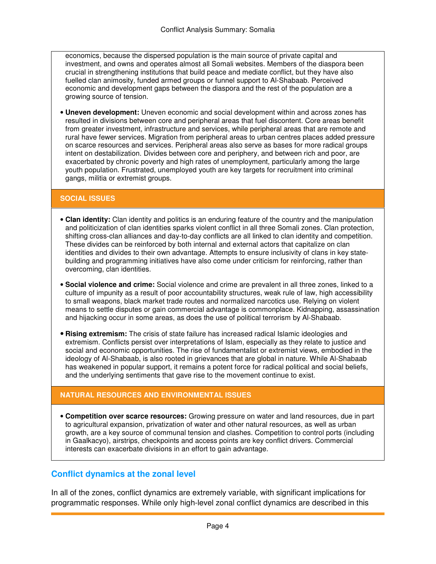economics, because the dispersed population is the main source of private capital and investment, and owns and operates almost all Somali websites. Members of the diaspora been crucial in strengthening institutions that build peace and mediate conflict, but they have also fuelled clan animosity, funded armed groups or funnel support to Al-Shabaab. Perceived economic and development gaps between the diaspora and the rest of the population are a growing source of tension.

• **Uneven development:** Uneven economic and social development within and across zones has resulted in divisions between core and peripheral areas that fuel discontent. Core areas benefit from greater investment, infrastructure and services, while peripheral areas that are remote and rural have fewer services. Migration from peripheral areas to urban centres places added pressure on scarce resources and services. Peripheral areas also serve as bases for more radical groups intent on destabilization. Divides between core and periphery, and between rich and poor, are exacerbated by chronic poverty and high rates of unemployment, particularly among the large youth population. Frustrated, unemployed youth are key targets for recruitment into criminal gangs, militia or extremist groups.

#### **SOCIAL ISSUES**

- **Clan identity:** Clan identity and politics is an enduring feature of the country and the manipulation and politicization of clan identities sparks violent conflict in all three Somali zones. Clan protection, shifting cross-clan alliances and day-to-day conflicts are all linked to clan identity and competition. These divides can be reinforced by both internal and external actors that capitalize on clan identities and divides to their own advantage. Attempts to ensure inclusivity of clans in key statebuilding and programming initiatives have also come under criticism for reinforcing, rather than overcoming, clan identities.
- **Social violence and crime:** Social violence and crime are prevalent in all three zones, linked to a culture of impunity as a result of poor accountability structures, weak rule of law, high accessibility to small weapons, black market trade routes and normalized narcotics use. Relying on violent means to settle disputes or gain commercial advantage is commonplace. Kidnapping, assassination and hijacking occur in some areas, as does the use of political terrorism by Al-Shabaab.
- **Rising extremism:** The crisis of state failure has increased radical Islamic ideologies and extremism. Conflicts persist over interpretations of Islam, especially as they relate to justice and social and economic opportunities. The rise of fundamentalist or extremist views, embodied in the ideology of Al-Shabaab, is also rooted in grievances that are global in nature. While Al-Shabaab has weakened in popular support, it remains a potent force for radical political and social beliefs, and the underlying sentiments that gave rise to the movement continue to exist.

#### **NATURAL RESOURCES AND ENVIRONMENTAL ISSUES**

• **Competition over scarce resources:** Growing pressure on water and land resources, due in part to agricultural expansion, privatization of water and other natural resources, as well as urban growth, are a key source of communal tension and clashes. Competition to control ports (including in Gaalkacyo), airstrips, checkpoints and access points are key conflict drivers. Commercial interests can exacerbate divisions in an effort to gain advantage.

#### **Conflict dynamics at the zonal level**

In all of the zones, conflict dynamics are extremely variable, with significant implications for programmatic responses. While only high-level zonal conflict dynamics are described in this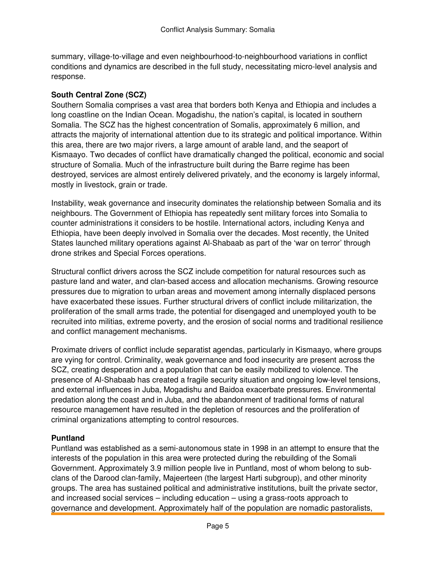summary, village-to-village and even neighbourhood-to-neighbourhood variations in conflict conditions and dynamics are described in the full study, necessitating micro-level analysis and response.

#### **South Central Zone (SCZ)**

Southern Somalia comprises a vast area that borders both Kenya and Ethiopia and includes a long coastline on the Indian Ocean. Mogadishu, the nation's capital, is located in southern Somalia. The SCZ has the highest concentration of Somalis, approximately 6 million, and attracts the majority of international attention due to its strategic and political importance. Within this area, there are two major rivers, a large amount of arable land, and the seaport of Kismaayo. Two decades of conflict have dramatically changed the political, economic and social structure of Somalia. Much of the infrastructure built during the Barre regime has been destroyed, services are almost entirely delivered privately, and the economy is largely informal, mostly in livestock, grain or trade.

Instability, weak governance and insecurity dominates the relationship between Somalia and its neighbours. The Government of Ethiopia has repeatedly sent military forces into Somalia to counter administrations it considers to be hostile. International actors, including Kenya and Ethiopia, have been deeply involved in Somalia over the decades. Most recently, the United States launched military operations against Al-Shabaab as part of the 'war on terror' through drone strikes and Special Forces operations.

Structural conflict drivers across the SCZ include competition for natural resources such as pasture land and water, and clan-based access and allocation mechanisms. Growing resource pressures due to migration to urban areas and movement among internally displaced persons have exacerbated these issues. Further structural drivers of conflict include militarization, the proliferation of the small arms trade, the potential for disengaged and unemployed youth to be recruited into militias, extreme poverty, and the erosion of social norms and traditional resilience and conflict management mechanisms.

Proximate drivers of conflict include separatist agendas, particularly in Kismaayo, where groups are vying for control. Criminality, weak governance and food insecurity are present across the SCZ, creating desperation and a population that can be easily mobilized to violence. The presence of Al-Shabaab has created a fragile security situation and ongoing low-level tensions, and external influences in Juba, Mogadishu and Baidoa exacerbate pressures. Environmental predation along the coast and in Juba, and the abandonment of traditional forms of natural resource management have resulted in the depletion of resources and the proliferation of criminal organizations attempting to control resources.

#### **Puntland**

Puntland was established as a semi-autonomous state in 1998 in an attempt to ensure that the interests of the population in this area were protected during the rebuilding of the Somali Government. Approximately 3.9 million people live in Puntland, most of whom belong to subclans of the Darood clan-family, Majeerteen (the largest Harti subgroup), and other minority groups. The area has sustained political and administrative institutions, built the private sector, and increased social services – including education – using a grass-roots approach to governance and development. Approximately half of the population are nomadic pastoralists,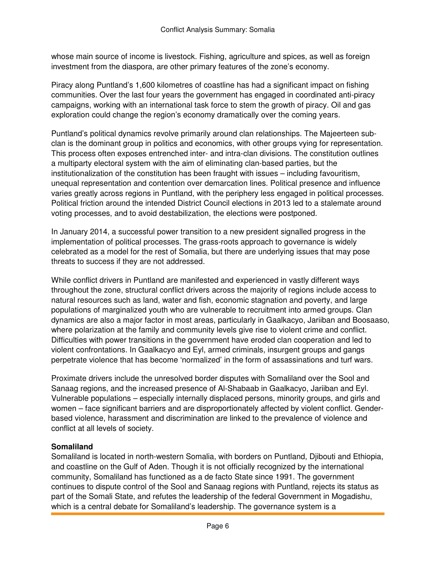whose main source of income is livestock. Fishing, agriculture and spices, as well as foreign investment from the diaspora, are other primary features of the zone's economy.

Piracy along Puntland's 1,600 kilometres of coastline has had a significant impact on fishing communities. Over the last four years the government has engaged in coordinated anti-piracy campaigns, working with an international task force to stem the growth of piracy. Oil and gas exploration could change the region's economy dramatically over the coming years.

Puntland's political dynamics revolve primarily around clan relationships. The Majeerteen subclan is the dominant group in politics and economics, with other groups vying for representation. This process often exposes entrenched inter- and intra-clan divisions. The constitution outlines a multiparty electoral system with the aim of eliminating clan-based parties, but the institutionalization of the constitution has been fraught with issues – including favouritism, unequal representation and contention over demarcation lines. Political presence and influence varies greatly across regions in Puntland, with the periphery less engaged in political processes. Political friction around the intended District Council elections in 2013 led to a stalemate around voting processes, and to avoid destabilization, the elections were postponed.

In January 2014, a successful power transition to a new president signalled progress in the implementation of political processes. The grass-roots approach to governance is widely celebrated as a model for the rest of Somalia, but there are underlying issues that may pose threats to success if they are not addressed.

While conflict drivers in Puntland are manifested and experienced in vastly different ways throughout the zone, structural conflict drivers across the majority of regions include access to natural resources such as land, water and fish, economic stagnation and poverty, and large populations of marginalized youth who are vulnerable to recruitment into armed groups. Clan dynamics are also a major factor in most areas, particularly in Gaalkacyo, Jariiban and Boosaaso, where polarization at the family and community levels give rise to violent crime and conflict. Difficulties with power transitions in the government have eroded clan cooperation and led to violent confrontations. In Gaalkacyo and Eyl, armed criminals, insurgent groups and gangs perpetrate violence that has become 'normalized' in the form of assassinations and turf wars.

Proximate drivers include the unresolved border disputes with Somaliland over the Sool and Sanaag regions, and the increased presence of Al-Shabaab in Gaalkacyo, Jariiban and Eyl. Vulnerable populations – especially internally displaced persons, minority groups, and girls and women – face significant barriers and are disproportionately affected by violent conflict. Genderbased violence, harassment and discrimination are linked to the prevalence of violence and conflict at all levels of society.

#### **Somaliland**

Somaliland is located in north-western Somalia, with borders on Puntland, Djibouti and Ethiopia, and coastline on the Gulf of Aden. Though it is not officially recognized by the international community, Somaliland has functioned as a de facto State since 1991. The government continues to dispute control of the Sool and Sanaag regions with Puntland, rejects its status as part of the Somali State, and refutes the leadership of the federal Government in Mogadishu, which is a central debate for Somaliland's leadership. The governance system is a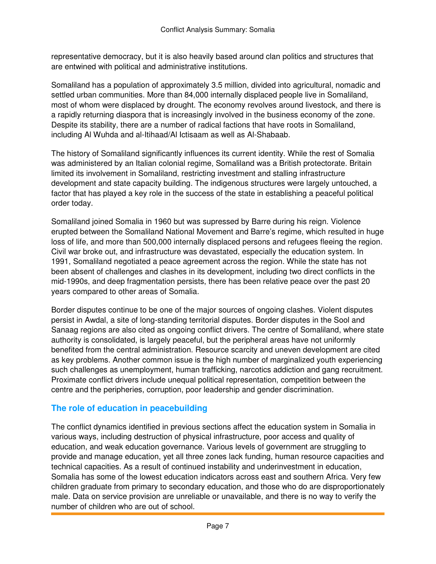representative democracy, but it is also heavily based around clan politics and structures that are entwined with political and administrative institutions.

Somaliland has a population of approximately 3.5 million, divided into agricultural, nomadic and settled urban communities. More than 84,000 internally displaced people live in Somaliland, most of whom were displaced by drought. The economy revolves around livestock, and there is a rapidly returning diaspora that is increasingly involved in the business economy of the zone. Despite its stability, there are a number of radical factions that have roots in Somaliland, including Al Wuhda and al-Itihaad/Al Ictisaam as well as Al-Shabaab.

The history of Somaliland significantly influences its current identity. While the rest of Somalia was administered by an Italian colonial regime, Somaliland was a British protectorate. Britain limited its involvement in Somaliland, restricting investment and stalling infrastructure development and state capacity building. The indigenous structures were largely untouched, a factor that has played a key role in the success of the state in establishing a peaceful political order today.

Somaliland joined Somalia in 1960 but was supressed by Barre during his reign. Violence erupted between the Somaliland National Movement and Barre's regime, which resulted in huge loss of life, and more than 500,000 internally displaced persons and refugees fleeing the region. Civil war broke out, and infrastructure was devastated, especially the education system. In 1991, Somaliland negotiated a peace agreement across the region. While the state has not been absent of challenges and clashes in its development, including two direct conflicts in the mid-1990s, and deep fragmentation persists, there has been relative peace over the past 20 years compared to other areas of Somalia.

Border disputes continue to be one of the major sources of ongoing clashes. Violent disputes persist in Awdal, a site of long-standing territorial disputes. Border disputes in the Sool and Sanaag regions are also cited as ongoing conflict drivers. The centre of Somaliland, where state authority is consolidated, is largely peaceful, but the peripheral areas have not uniformly benefited from the central administration. Resource scarcity and uneven development are cited as key problems. Another common issue is the high number of marginalized youth experiencing such challenges as unemployment, human trafficking, narcotics addiction and gang recruitment. Proximate conflict drivers include unequal political representation, competition between the centre and the peripheries, corruption, poor leadership and gender discrimination.

# **The role of education in peacebuilding**

The conflict dynamics identified in previous sections affect the education system in Somalia in various ways, including destruction of physical infrastructure, poor access and quality of education, and weak education governance. Various levels of government are struggling to provide and manage education, yet all three zones lack funding, human resource capacities and technical capacities. As a result of continued instability and underinvestment in education, Somalia has some of the lowest education indicators across east and southern Africa. Very few children graduate from primary to secondary education, and those who do are disproportionately male. Data on service provision are unreliable or unavailable, and there is no way to verify the number of children who are out of school.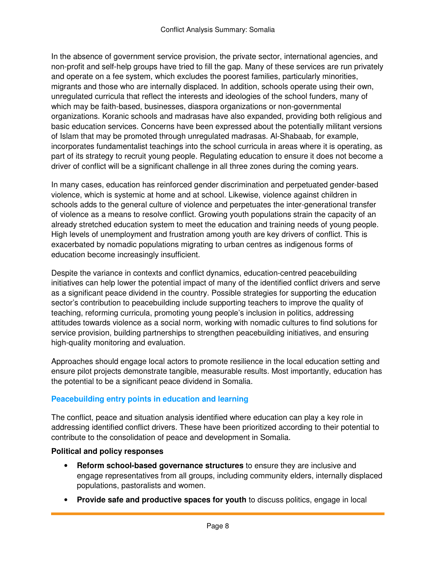In the absence of government service provision, the private sector, international agencies, and non-profit and self-help groups have tried to fill the gap. Many of these services are run privately and operate on a fee system, which excludes the poorest families, particularly minorities, migrants and those who are internally displaced. In addition, schools operate using their own, unregulated curricula that reflect the interests and ideologies of the school funders, many of which may be faith-based, businesses, diaspora organizations or non-governmental organizations. Koranic schools and madrasas have also expanded, providing both religious and basic education services. Concerns have been expressed about the potentially militant versions of Islam that may be promoted through unregulated madrasas. Al-Shabaab, for example, incorporates fundamentalist teachings into the school curricula in areas where it is operating, as part of its strategy to recruit young people. Regulating education to ensure it does not become a driver of conflict will be a significant challenge in all three zones during the coming years.

In many cases, education has reinforced gender discrimination and perpetuated gender-based violence, which is systemic at home and at school. Likewise, violence against children in schools adds to the general culture of violence and perpetuates the inter-generational transfer of violence as a means to resolve conflict. Growing youth populations strain the capacity of an already stretched education system to meet the education and training needs of young people. High levels of unemployment and frustration among youth are key drivers of conflict. This is exacerbated by nomadic populations migrating to urban centres as indigenous forms of education become increasingly insufficient.

Despite the variance in contexts and conflict dynamics, education-centred peacebuilding initiatives can help lower the potential impact of many of the identified conflict drivers and serve as a significant peace dividend in the country. Possible strategies for supporting the education sector's contribution to peacebuilding include supporting teachers to improve the quality of teaching, reforming curricula, promoting young people's inclusion in politics, addressing attitudes towards violence as a social norm, working with nomadic cultures to find solutions for service provision, building partnerships to strengthen peacebuilding initiatives, and ensuring high-quality monitoring and evaluation.

Approaches should engage local actors to promote resilience in the local education setting and ensure pilot projects demonstrate tangible, measurable results. Most importantly, education has the potential to be a significant peace dividend in Somalia.

### **Peacebuilding entry points in education and learning**

The conflict, peace and situation analysis identified where education can play a key role in addressing identified conflict drivers. These have been prioritized according to their potential to contribute to the consolidation of peace and development in Somalia.

#### **Political and policy responses**

- **Reform school-based governance structures** to ensure they are inclusive and engage representatives from all groups, including community elders, internally displaced populations, pastoralists and women.
- **Provide safe and productive spaces for youth** to discuss politics, engage in local